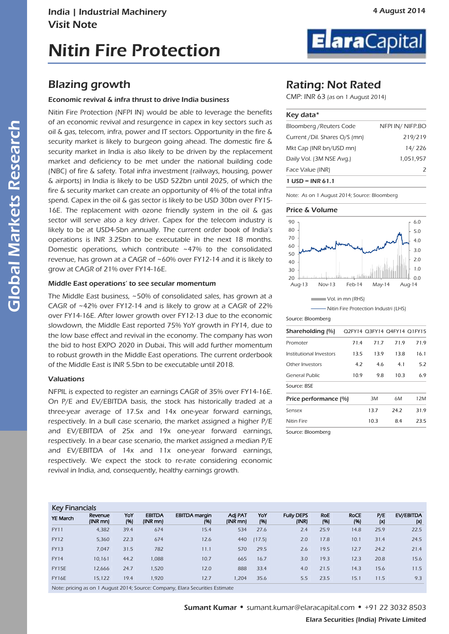### Blazing growth

#### Economic revival & infra thrust to drive India business

Nitin Fire Protection (NFPI IN) would be able to leverage the benefits of an economic revival and resurgence in capex in key sectors such as oil & gas, telecom, infra, power and IT sectors. Opportunity in the fire & security market is likely to burgeon going ahead. The domestic fire & security market in India is also likely to be driven by the replacement market and deficiency to be met under the national building code (NBC) of fire & safety. Total infra investment (railways, housing, power & airports) in India is likely to be USD 522bn until 2025, of which the fire & security market can create an opportunity of 4% of the total infra spend. Capex in the oil & gas sector is likely to be USD 30bn over FY15- 16E. The replacement with ozone friendly system in the oil & gas sector will serve also a key driver. Capex for the telecom industry is likely to be at USD4-5bn annually. The current order book of India's operations is INR 3.25bn to be executable in the next 18 months. Domestic operations, which contribute ~47% to the consolidated revenue, has grown at a CAGR of ~60% over FY12-14 and it is likely to grow at CAGR of 21% over FY14-16E.

#### Middle East operations' to see secular momentum

The Middle East business, ~50% of consolidated sales, has grown at a CAGR of ~42% over FY12-14 and is likely to grow at a CAGR of 22% over FY14-16E. After lower growth over FY12-13 due to the economic slowdown, the Middle East reported 75% YoY growth in FY14, due to the low base effect and revival in the economy. The company has won the bid to host EXPO 2020 in Dubai. This will add further momentum to robust growth in the Middle East operations. The current orderbook of the Middle East is INR 5.5bn to be executable until 2018.

#### Valuations

NFPIL is expected to register an earnings CAGR of 35% over FY14-16E. On P/E and EV/EBITDA basis, the stock has historically traded at a three-year average of 17.5x and 14x one-year forward earnings, respectively. In a bull case scenario, the market assigned a higher P/E and EV/EBITDA of 25x and 19x one-year forward earnings, respectively. In a bear case scenario, the market assigned a median P/E and EV/EBITDA of 14x and 11x one-year forward earnings, respectively. We expect the stock to re-rate considering economic revival in India, and, consequently, healthy earnings growth.



### Rating: Not Rated

CMP: INR 63 (as on 1 August 2014)

| Key data*                     |                 |
|-------------------------------|-----------------|
| Bloomberg / Reuters Code      | NFPI IN/NIFP.BO |
| Current /Dil. Shares O/S (mn) | 219/219         |
| Mkt Cap (INR bn/USD mn)       | 14/226          |
| Daily Vol. (3M NSE Avg.)      | 1,051,957       |
| Face Value (INR)              |                 |
| 1 USD = INR 61.1              |                 |

Note: As on 1 August 2014; Source: Bloomberg

#### Price & Volume



- Nitin Fire Protection Industri (LHS)

Source: Bloomberg

| Shareholding (%)        |      | O2FY14 O3FY14 O4FY14 O1FY15 |      |      |
|-------------------------|------|-----------------------------|------|------|
| Promoter                | 71.4 | 71.7                        | 71.9 | 71.9 |
| Institutional Investors | 13.5 | 13.9                        | 13.8 | 16.1 |
| Other Investors         | 4.2  | 4.6                         | 4.1  | 5.2  |
| General Public          | 10.9 | 9.8                         | 10.3 | 6.9  |
| Source: BSE             |      |                             |      |      |
| Price performance (%)   |      | 3M                          | 6M   | 12M  |
| Sensex                  |      | 13.7                        | 24.2 | 31.9 |
| <b>Nitin Fire</b>       |      | 10.3                        | 8.4  | 23.5 |
| Source: Bloomberg       |      |                             |      |      |

#### Key Financials

| <b>IVATION I</b> |                     |             |                           |                              |                     |             |                            |                   |                     |            |                  |
|------------------|---------------------|-------------|---------------------------|------------------------------|---------------------|-------------|----------------------------|-------------------|---------------------|------------|------------------|
| <b>YE March</b>  | Revenue<br>(INR mn) | YoY<br>(96) | <b>EBITDA</b><br>(INR mn) | <b>EBITDA</b> margin<br>(96) | Adj PAT<br>(INR mn) | YoY<br>(96) | <b>Fully DEPS</b><br>(INR) | <b>RoE</b><br>(%) | <b>RoCE</b><br>(96) | P/E<br>(x) | EV/EBITDA<br>(x) |
| <b>FY11</b>      | 4,382               | 39.4        | 674                       | 15.4                         | 534                 | 27.6        | 2.4                        | 25.9              | 14.8                | 25.9       | 22.5             |
| <b>FY12</b>      | 5.360               | 22.3        | 674                       | 12.6                         | 440                 | (17.5)      | 2.0                        | 17.8              | 10.1                | 31.4       | 24.5             |
| <b>FY13</b>      | 7.047               | 31.5        | 782                       | 11.1                         | 570                 | 29.5        | 2.6                        | 19.5              | 12.7                | 24.2       | 21.4             |
| <b>FY14</b>      | 10.161              | 44.2        | 1,088                     | 10.7                         | 665                 | 16.7        | 3.0                        | 19.3              | 12.3                | 20.8       | 15.6             |
| FY15E            | 12.666              | 24.7        | 1,520                     | 12.0                         | 888                 | 33.4        | 4.0                        | 21.5              | 14.3                | 15.6       | 11.5             |
| <b>FY16E</b>     | 15.122              | 19.4        | 1.920                     | 12.7                         | 1.204               | 35.6        | 5.5                        | 23.5              | 15.1                | 11.5       | 9.3              |
|                  |                     |             |                           |                              |                     |             |                            |                   |                     |            |                  |

Note: pricing as on 1 August 2014; Source: Company, Elara Securities Estimate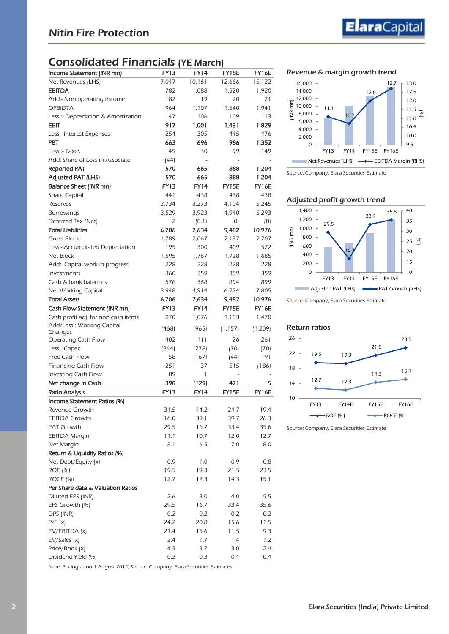# Consolidated Financials (YE March)

| <b>FY13</b><br>Income Statement (INR mn)<br><b>FY14</b><br>FY15E<br>FY16E<br>7,047<br>10,161<br>12,666<br>15,122<br>Net Revenues (LHS)<br><b>EBITDA</b><br>782<br>1,088<br>1.520<br>1,920<br>21<br>182<br>19<br>20<br>Add:- Non operating Income<br><b>OPBIDTA</b><br>1,941<br>964<br>1.107<br>1,540<br>47<br>106<br>109<br>113<br>Less :- Depreciation & Amortization<br><b>EBIT</b><br>917<br>1,001<br>1,431<br>1,829<br>476<br>254<br>305<br>445<br>Less:- Interest Expenses<br><b>PBT</b><br>663<br>696<br>986<br>1,352<br>49<br>Less :- Taxes<br>30<br>99<br>149<br>Add: Share of Loss in Associate<br>(44)<br><b>Reported PAT</b><br>570<br>665<br>888<br>1,204<br>665<br><b>Adjusted PAT (LHS)</b><br>570<br>888<br>1,204<br>FY16E<br><b>FY13</b><br><b>FY14</b><br>FY15E<br>Balance Sheet (INR mn)<br>441<br><b>Share Capital</b><br>438<br>438<br>438<br>2,734<br>4,104<br>5,245<br>Reserves<br>3,273<br>5,293<br><b>Borrowings</b><br>3,529<br>3,923<br>4,940<br>Deferred Tax (Net)<br>2<br>(0.1)<br>(0)<br>(0)<br><b>Total Liabilities</b><br>6,706<br>7,634<br>9,482<br>10,976<br><b>Gross Block</b><br>1,789<br>2,067<br>2,137<br>2,207<br>Less:- Accumulated Depreciation<br>195<br>300<br>409<br>522<br>1,595<br>Net Block<br>1,767<br>1,728<br>1,685<br>228<br>228<br>228<br>228<br>Add:- Capital work in progress<br>Investments<br>360<br>359<br>359<br>359<br>576<br>Cash & bank balances<br>368<br>894<br>899<br>3,948<br>7,805<br>Net Working Capital<br>4,914<br>6,274<br><b>Total Assets</b><br>6,706<br>7,634<br>9,482<br>10,976<br><b>FY13</b><br><b>FY14</b><br>FY15E<br>FY16E<br>Cash Flow Statement (INR mn)<br>Cash profit adj. for non cash items<br>870<br>1,076<br>1,183<br>1,470<br>Add/Less: Working Capital<br>(1, 209)<br>(468)<br>(965)<br>(1, 157)<br>Changes<br>261<br>402<br>111<br>26<br><b>Operating Cash Flow</b><br>(344)<br>(278)<br>(70)<br>(70)<br>Less:- Capex<br>Free Cash Flow<br>58<br>191<br>(167)<br>(44)<br>251<br>Financing Cash Flow<br>515<br>(186)<br>37<br>89<br>Investing Cash Flow<br>1<br>Net change in Cash<br>398<br>(129)<br>471<br>5<br>FY16E<br><b>Ratio Analysis</b><br><b>FY13</b><br><b>FY14</b><br>FY15E<br>Income Statement Ratios (%)<br>31.5<br>Revenue Growth<br>44.2<br>24.7<br>19.4<br><b>EBITDA Growth</b><br>16.0<br>39.1<br>39.7<br>26.3<br><b>PAT Growth</b><br>29.5<br>16.7<br>35.6<br>33.4<br><b>EBITDA Margin</b><br>11.1<br>10.7<br>12.0<br>12.7<br>Net Margin<br>8.1<br>6.5<br>7.0<br>8.0<br>Return & Liquidity Ratios (%)<br>0.9<br>1.0<br>0.9<br>0.8<br>Net Debt/Equity (x)<br>ROE (%)<br>19.5<br>19.3<br>21.5<br>23.5<br><b>ROCE (%)</b><br>14.3<br>15.1<br>12.7<br>12.3<br>Per Share data & Valuation Ratios<br>Diluted EPS (INR)<br>2.6<br>5.5<br>3.0<br>4.0<br>29.5<br>16.7<br>35.6<br>EPS Growth (%)<br>33.4<br>0.2<br>0.2<br>DPS (INR)<br>0.2<br>0.2<br>24.2<br>15.6<br>P/E(x)<br>20.8<br>11.5<br>EV/EBITDA (x)<br>21.4<br>15.6<br>11.5<br>9.3<br>1.7<br>EV/Sales (x)<br>2.4<br>1.4<br>1.2<br>Price/Book (x)<br>4.3<br>3.7<br>2.4<br>3.0<br>Dividend Yield (%)<br>0.3<br>0.3<br>0.4<br>0.4 |  |  |  |
|------------------------------------------------------------------------------------------------------------------------------------------------------------------------------------------------------------------------------------------------------------------------------------------------------------------------------------------------------------------------------------------------------------------------------------------------------------------------------------------------------------------------------------------------------------------------------------------------------------------------------------------------------------------------------------------------------------------------------------------------------------------------------------------------------------------------------------------------------------------------------------------------------------------------------------------------------------------------------------------------------------------------------------------------------------------------------------------------------------------------------------------------------------------------------------------------------------------------------------------------------------------------------------------------------------------------------------------------------------------------------------------------------------------------------------------------------------------------------------------------------------------------------------------------------------------------------------------------------------------------------------------------------------------------------------------------------------------------------------------------------------------------------------------------------------------------------------------------------------------------------------------------------------------------------------------------------------------------------------------------------------------------------------------------------------------------------------------------------------------------------------------------------------------------------------------------------------------------------------------------------------------------------------------------------------------------------------------------------------------------------------------------------------------------------------------------------------------------------------------------------------------------------------------------------------------------------------------------------------------------------------------------------------------------------------------------------------------------------------------------------------------------------------------------------------------------------------------------------------------------------------------------------------------------------------------------------------------------------------------------------------------------------------------------------------------------------------------|--|--|--|
|                                                                                                                                                                                                                                                                                                                                                                                                                                                                                                                                                                                                                                                                                                                                                                                                                                                                                                                                                                                                                                                                                                                                                                                                                                                                                                                                                                                                                                                                                                                                                                                                                                                                                                                                                                                                                                                                                                                                                                                                                                                                                                                                                                                                                                                                                                                                                                                                                                                                                                                                                                                                                                                                                                                                                                                                                                                                                                                                                                                                                                                                                          |  |  |  |
|                                                                                                                                                                                                                                                                                                                                                                                                                                                                                                                                                                                                                                                                                                                                                                                                                                                                                                                                                                                                                                                                                                                                                                                                                                                                                                                                                                                                                                                                                                                                                                                                                                                                                                                                                                                                                                                                                                                                                                                                                                                                                                                                                                                                                                                                                                                                                                                                                                                                                                                                                                                                                                                                                                                                                                                                                                                                                                                                                                                                                                                                                          |  |  |  |
|                                                                                                                                                                                                                                                                                                                                                                                                                                                                                                                                                                                                                                                                                                                                                                                                                                                                                                                                                                                                                                                                                                                                                                                                                                                                                                                                                                                                                                                                                                                                                                                                                                                                                                                                                                                                                                                                                                                                                                                                                                                                                                                                                                                                                                                                                                                                                                                                                                                                                                                                                                                                                                                                                                                                                                                                                                                                                                                                                                                                                                                                                          |  |  |  |
|                                                                                                                                                                                                                                                                                                                                                                                                                                                                                                                                                                                                                                                                                                                                                                                                                                                                                                                                                                                                                                                                                                                                                                                                                                                                                                                                                                                                                                                                                                                                                                                                                                                                                                                                                                                                                                                                                                                                                                                                                                                                                                                                                                                                                                                                                                                                                                                                                                                                                                                                                                                                                                                                                                                                                                                                                                                                                                                                                                                                                                                                                          |  |  |  |
|                                                                                                                                                                                                                                                                                                                                                                                                                                                                                                                                                                                                                                                                                                                                                                                                                                                                                                                                                                                                                                                                                                                                                                                                                                                                                                                                                                                                                                                                                                                                                                                                                                                                                                                                                                                                                                                                                                                                                                                                                                                                                                                                                                                                                                                                                                                                                                                                                                                                                                                                                                                                                                                                                                                                                                                                                                                                                                                                                                                                                                                                                          |  |  |  |
|                                                                                                                                                                                                                                                                                                                                                                                                                                                                                                                                                                                                                                                                                                                                                                                                                                                                                                                                                                                                                                                                                                                                                                                                                                                                                                                                                                                                                                                                                                                                                                                                                                                                                                                                                                                                                                                                                                                                                                                                                                                                                                                                                                                                                                                                                                                                                                                                                                                                                                                                                                                                                                                                                                                                                                                                                                                                                                                                                                                                                                                                                          |  |  |  |
|                                                                                                                                                                                                                                                                                                                                                                                                                                                                                                                                                                                                                                                                                                                                                                                                                                                                                                                                                                                                                                                                                                                                                                                                                                                                                                                                                                                                                                                                                                                                                                                                                                                                                                                                                                                                                                                                                                                                                                                                                                                                                                                                                                                                                                                                                                                                                                                                                                                                                                                                                                                                                                                                                                                                                                                                                                                                                                                                                                                                                                                                                          |  |  |  |
|                                                                                                                                                                                                                                                                                                                                                                                                                                                                                                                                                                                                                                                                                                                                                                                                                                                                                                                                                                                                                                                                                                                                                                                                                                                                                                                                                                                                                                                                                                                                                                                                                                                                                                                                                                                                                                                                                                                                                                                                                                                                                                                                                                                                                                                                                                                                                                                                                                                                                                                                                                                                                                                                                                                                                                                                                                                                                                                                                                                                                                                                                          |  |  |  |
|                                                                                                                                                                                                                                                                                                                                                                                                                                                                                                                                                                                                                                                                                                                                                                                                                                                                                                                                                                                                                                                                                                                                                                                                                                                                                                                                                                                                                                                                                                                                                                                                                                                                                                                                                                                                                                                                                                                                                                                                                                                                                                                                                                                                                                                                                                                                                                                                                                                                                                                                                                                                                                                                                                                                                                                                                                                                                                                                                                                                                                                                                          |  |  |  |
|                                                                                                                                                                                                                                                                                                                                                                                                                                                                                                                                                                                                                                                                                                                                                                                                                                                                                                                                                                                                                                                                                                                                                                                                                                                                                                                                                                                                                                                                                                                                                                                                                                                                                                                                                                                                                                                                                                                                                                                                                                                                                                                                                                                                                                                                                                                                                                                                                                                                                                                                                                                                                                                                                                                                                                                                                                                                                                                                                                                                                                                                                          |  |  |  |
|                                                                                                                                                                                                                                                                                                                                                                                                                                                                                                                                                                                                                                                                                                                                                                                                                                                                                                                                                                                                                                                                                                                                                                                                                                                                                                                                                                                                                                                                                                                                                                                                                                                                                                                                                                                                                                                                                                                                                                                                                                                                                                                                                                                                                                                                                                                                                                                                                                                                                                                                                                                                                                                                                                                                                                                                                                                                                                                                                                                                                                                                                          |  |  |  |
|                                                                                                                                                                                                                                                                                                                                                                                                                                                                                                                                                                                                                                                                                                                                                                                                                                                                                                                                                                                                                                                                                                                                                                                                                                                                                                                                                                                                                                                                                                                                                                                                                                                                                                                                                                                                                                                                                                                                                                                                                                                                                                                                                                                                                                                                                                                                                                                                                                                                                                                                                                                                                                                                                                                                                                                                                                                                                                                                                                                                                                                                                          |  |  |  |
|                                                                                                                                                                                                                                                                                                                                                                                                                                                                                                                                                                                                                                                                                                                                                                                                                                                                                                                                                                                                                                                                                                                                                                                                                                                                                                                                                                                                                                                                                                                                                                                                                                                                                                                                                                                                                                                                                                                                                                                                                                                                                                                                                                                                                                                                                                                                                                                                                                                                                                                                                                                                                                                                                                                                                                                                                                                                                                                                                                                                                                                                                          |  |  |  |
|                                                                                                                                                                                                                                                                                                                                                                                                                                                                                                                                                                                                                                                                                                                                                                                                                                                                                                                                                                                                                                                                                                                                                                                                                                                                                                                                                                                                                                                                                                                                                                                                                                                                                                                                                                                                                                                                                                                                                                                                                                                                                                                                                                                                                                                                                                                                                                                                                                                                                                                                                                                                                                                                                                                                                                                                                                                                                                                                                                                                                                                                                          |  |  |  |
|                                                                                                                                                                                                                                                                                                                                                                                                                                                                                                                                                                                                                                                                                                                                                                                                                                                                                                                                                                                                                                                                                                                                                                                                                                                                                                                                                                                                                                                                                                                                                                                                                                                                                                                                                                                                                                                                                                                                                                                                                                                                                                                                                                                                                                                                                                                                                                                                                                                                                                                                                                                                                                                                                                                                                                                                                                                                                                                                                                                                                                                                                          |  |  |  |
|                                                                                                                                                                                                                                                                                                                                                                                                                                                                                                                                                                                                                                                                                                                                                                                                                                                                                                                                                                                                                                                                                                                                                                                                                                                                                                                                                                                                                                                                                                                                                                                                                                                                                                                                                                                                                                                                                                                                                                                                                                                                                                                                                                                                                                                                                                                                                                                                                                                                                                                                                                                                                                                                                                                                                                                                                                                                                                                                                                                                                                                                                          |  |  |  |
|                                                                                                                                                                                                                                                                                                                                                                                                                                                                                                                                                                                                                                                                                                                                                                                                                                                                                                                                                                                                                                                                                                                                                                                                                                                                                                                                                                                                                                                                                                                                                                                                                                                                                                                                                                                                                                                                                                                                                                                                                                                                                                                                                                                                                                                                                                                                                                                                                                                                                                                                                                                                                                                                                                                                                                                                                                                                                                                                                                                                                                                                                          |  |  |  |
|                                                                                                                                                                                                                                                                                                                                                                                                                                                                                                                                                                                                                                                                                                                                                                                                                                                                                                                                                                                                                                                                                                                                                                                                                                                                                                                                                                                                                                                                                                                                                                                                                                                                                                                                                                                                                                                                                                                                                                                                                                                                                                                                                                                                                                                                                                                                                                                                                                                                                                                                                                                                                                                                                                                                                                                                                                                                                                                                                                                                                                                                                          |  |  |  |
|                                                                                                                                                                                                                                                                                                                                                                                                                                                                                                                                                                                                                                                                                                                                                                                                                                                                                                                                                                                                                                                                                                                                                                                                                                                                                                                                                                                                                                                                                                                                                                                                                                                                                                                                                                                                                                                                                                                                                                                                                                                                                                                                                                                                                                                                                                                                                                                                                                                                                                                                                                                                                                                                                                                                                                                                                                                                                                                                                                                                                                                                                          |  |  |  |
|                                                                                                                                                                                                                                                                                                                                                                                                                                                                                                                                                                                                                                                                                                                                                                                                                                                                                                                                                                                                                                                                                                                                                                                                                                                                                                                                                                                                                                                                                                                                                                                                                                                                                                                                                                                                                                                                                                                                                                                                                                                                                                                                                                                                                                                                                                                                                                                                                                                                                                                                                                                                                                                                                                                                                                                                                                                                                                                                                                                                                                                                                          |  |  |  |
|                                                                                                                                                                                                                                                                                                                                                                                                                                                                                                                                                                                                                                                                                                                                                                                                                                                                                                                                                                                                                                                                                                                                                                                                                                                                                                                                                                                                                                                                                                                                                                                                                                                                                                                                                                                                                                                                                                                                                                                                                                                                                                                                                                                                                                                                                                                                                                                                                                                                                                                                                                                                                                                                                                                                                                                                                                                                                                                                                                                                                                                                                          |  |  |  |
|                                                                                                                                                                                                                                                                                                                                                                                                                                                                                                                                                                                                                                                                                                                                                                                                                                                                                                                                                                                                                                                                                                                                                                                                                                                                                                                                                                                                                                                                                                                                                                                                                                                                                                                                                                                                                                                                                                                                                                                                                                                                                                                                                                                                                                                                                                                                                                                                                                                                                                                                                                                                                                                                                                                                                                                                                                                                                                                                                                                                                                                                                          |  |  |  |
|                                                                                                                                                                                                                                                                                                                                                                                                                                                                                                                                                                                                                                                                                                                                                                                                                                                                                                                                                                                                                                                                                                                                                                                                                                                                                                                                                                                                                                                                                                                                                                                                                                                                                                                                                                                                                                                                                                                                                                                                                                                                                                                                                                                                                                                                                                                                                                                                                                                                                                                                                                                                                                                                                                                                                                                                                                                                                                                                                                                                                                                                                          |  |  |  |
|                                                                                                                                                                                                                                                                                                                                                                                                                                                                                                                                                                                                                                                                                                                                                                                                                                                                                                                                                                                                                                                                                                                                                                                                                                                                                                                                                                                                                                                                                                                                                                                                                                                                                                                                                                                                                                                                                                                                                                                                                                                                                                                                                                                                                                                                                                                                                                                                                                                                                                                                                                                                                                                                                                                                                                                                                                                                                                                                                                                                                                                                                          |  |  |  |
|                                                                                                                                                                                                                                                                                                                                                                                                                                                                                                                                                                                                                                                                                                                                                                                                                                                                                                                                                                                                                                                                                                                                                                                                                                                                                                                                                                                                                                                                                                                                                                                                                                                                                                                                                                                                                                                                                                                                                                                                                                                                                                                                                                                                                                                                                                                                                                                                                                                                                                                                                                                                                                                                                                                                                                                                                                                                                                                                                                                                                                                                                          |  |  |  |
|                                                                                                                                                                                                                                                                                                                                                                                                                                                                                                                                                                                                                                                                                                                                                                                                                                                                                                                                                                                                                                                                                                                                                                                                                                                                                                                                                                                                                                                                                                                                                                                                                                                                                                                                                                                                                                                                                                                                                                                                                                                                                                                                                                                                                                                                                                                                                                                                                                                                                                                                                                                                                                                                                                                                                                                                                                                                                                                                                                                                                                                                                          |  |  |  |
|                                                                                                                                                                                                                                                                                                                                                                                                                                                                                                                                                                                                                                                                                                                                                                                                                                                                                                                                                                                                                                                                                                                                                                                                                                                                                                                                                                                                                                                                                                                                                                                                                                                                                                                                                                                                                                                                                                                                                                                                                                                                                                                                                                                                                                                                                                                                                                                                                                                                                                                                                                                                                                                                                                                                                                                                                                                                                                                                                                                                                                                                                          |  |  |  |
|                                                                                                                                                                                                                                                                                                                                                                                                                                                                                                                                                                                                                                                                                                                                                                                                                                                                                                                                                                                                                                                                                                                                                                                                                                                                                                                                                                                                                                                                                                                                                                                                                                                                                                                                                                                                                                                                                                                                                                                                                                                                                                                                                                                                                                                                                                                                                                                                                                                                                                                                                                                                                                                                                                                                                                                                                                                                                                                                                                                                                                                                                          |  |  |  |
|                                                                                                                                                                                                                                                                                                                                                                                                                                                                                                                                                                                                                                                                                                                                                                                                                                                                                                                                                                                                                                                                                                                                                                                                                                                                                                                                                                                                                                                                                                                                                                                                                                                                                                                                                                                                                                                                                                                                                                                                                                                                                                                                                                                                                                                                                                                                                                                                                                                                                                                                                                                                                                                                                                                                                                                                                                                                                                                                                                                                                                                                                          |  |  |  |
|                                                                                                                                                                                                                                                                                                                                                                                                                                                                                                                                                                                                                                                                                                                                                                                                                                                                                                                                                                                                                                                                                                                                                                                                                                                                                                                                                                                                                                                                                                                                                                                                                                                                                                                                                                                                                                                                                                                                                                                                                                                                                                                                                                                                                                                                                                                                                                                                                                                                                                                                                                                                                                                                                                                                                                                                                                                                                                                                                                                                                                                                                          |  |  |  |
|                                                                                                                                                                                                                                                                                                                                                                                                                                                                                                                                                                                                                                                                                                                                                                                                                                                                                                                                                                                                                                                                                                                                                                                                                                                                                                                                                                                                                                                                                                                                                                                                                                                                                                                                                                                                                                                                                                                                                                                                                                                                                                                                                                                                                                                                                                                                                                                                                                                                                                                                                                                                                                                                                                                                                                                                                                                                                                                                                                                                                                                                                          |  |  |  |
|                                                                                                                                                                                                                                                                                                                                                                                                                                                                                                                                                                                                                                                                                                                                                                                                                                                                                                                                                                                                                                                                                                                                                                                                                                                                                                                                                                                                                                                                                                                                                                                                                                                                                                                                                                                                                                                                                                                                                                                                                                                                                                                                                                                                                                                                                                                                                                                                                                                                                                                                                                                                                                                                                                                                                                                                                                                                                                                                                                                                                                                                                          |  |  |  |
|                                                                                                                                                                                                                                                                                                                                                                                                                                                                                                                                                                                                                                                                                                                                                                                                                                                                                                                                                                                                                                                                                                                                                                                                                                                                                                                                                                                                                                                                                                                                                                                                                                                                                                                                                                                                                                                                                                                                                                                                                                                                                                                                                                                                                                                                                                                                                                                                                                                                                                                                                                                                                                                                                                                                                                                                                                                                                                                                                                                                                                                                                          |  |  |  |
|                                                                                                                                                                                                                                                                                                                                                                                                                                                                                                                                                                                                                                                                                                                                                                                                                                                                                                                                                                                                                                                                                                                                                                                                                                                                                                                                                                                                                                                                                                                                                                                                                                                                                                                                                                                                                                                                                                                                                                                                                                                                                                                                                                                                                                                                                                                                                                                                                                                                                                                                                                                                                                                                                                                                                                                                                                                                                                                                                                                                                                                                                          |  |  |  |
|                                                                                                                                                                                                                                                                                                                                                                                                                                                                                                                                                                                                                                                                                                                                                                                                                                                                                                                                                                                                                                                                                                                                                                                                                                                                                                                                                                                                                                                                                                                                                                                                                                                                                                                                                                                                                                                                                                                                                                                                                                                                                                                                                                                                                                                                                                                                                                                                                                                                                                                                                                                                                                                                                                                                                                                                                                                                                                                                                                                                                                                                                          |  |  |  |
|                                                                                                                                                                                                                                                                                                                                                                                                                                                                                                                                                                                                                                                                                                                                                                                                                                                                                                                                                                                                                                                                                                                                                                                                                                                                                                                                                                                                                                                                                                                                                                                                                                                                                                                                                                                                                                                                                                                                                                                                                                                                                                                                                                                                                                                                                                                                                                                                                                                                                                                                                                                                                                                                                                                                                                                                                                                                                                                                                                                                                                                                                          |  |  |  |
|                                                                                                                                                                                                                                                                                                                                                                                                                                                                                                                                                                                                                                                                                                                                                                                                                                                                                                                                                                                                                                                                                                                                                                                                                                                                                                                                                                                                                                                                                                                                                                                                                                                                                                                                                                                                                                                                                                                                                                                                                                                                                                                                                                                                                                                                                                                                                                                                                                                                                                                                                                                                                                                                                                                                                                                                                                                                                                                                                                                                                                                                                          |  |  |  |
|                                                                                                                                                                                                                                                                                                                                                                                                                                                                                                                                                                                                                                                                                                                                                                                                                                                                                                                                                                                                                                                                                                                                                                                                                                                                                                                                                                                                                                                                                                                                                                                                                                                                                                                                                                                                                                                                                                                                                                                                                                                                                                                                                                                                                                                                                                                                                                                                                                                                                                                                                                                                                                                                                                                                                                                                                                                                                                                                                                                                                                                                                          |  |  |  |
|                                                                                                                                                                                                                                                                                                                                                                                                                                                                                                                                                                                                                                                                                                                                                                                                                                                                                                                                                                                                                                                                                                                                                                                                                                                                                                                                                                                                                                                                                                                                                                                                                                                                                                                                                                                                                                                                                                                                                                                                                                                                                                                                                                                                                                                                                                                                                                                                                                                                                                                                                                                                                                                                                                                                                                                                                                                                                                                                                                                                                                                                                          |  |  |  |
|                                                                                                                                                                                                                                                                                                                                                                                                                                                                                                                                                                                                                                                                                                                                                                                                                                                                                                                                                                                                                                                                                                                                                                                                                                                                                                                                                                                                                                                                                                                                                                                                                                                                                                                                                                                                                                                                                                                                                                                                                                                                                                                                                                                                                                                                                                                                                                                                                                                                                                                                                                                                                                                                                                                                                                                                                                                                                                                                                                                                                                                                                          |  |  |  |
|                                                                                                                                                                                                                                                                                                                                                                                                                                                                                                                                                                                                                                                                                                                                                                                                                                                                                                                                                                                                                                                                                                                                                                                                                                                                                                                                                                                                                                                                                                                                                                                                                                                                                                                                                                                                                                                                                                                                                                                                                                                                                                                                                                                                                                                                                                                                                                                                                                                                                                                                                                                                                                                                                                                                                                                                                                                                                                                                                                                                                                                                                          |  |  |  |
|                                                                                                                                                                                                                                                                                                                                                                                                                                                                                                                                                                                                                                                                                                                                                                                                                                                                                                                                                                                                                                                                                                                                                                                                                                                                                                                                                                                                                                                                                                                                                                                                                                                                                                                                                                                                                                                                                                                                                                                                                                                                                                                                                                                                                                                                                                                                                                                                                                                                                                                                                                                                                                                                                                                                                                                                                                                                                                                                                                                                                                                                                          |  |  |  |
|                                                                                                                                                                                                                                                                                                                                                                                                                                                                                                                                                                                                                                                                                                                                                                                                                                                                                                                                                                                                                                                                                                                                                                                                                                                                                                                                                                                                                                                                                                                                                                                                                                                                                                                                                                                                                                                                                                                                                                                                                                                                                                                                                                                                                                                                                                                                                                                                                                                                                                                                                                                                                                                                                                                                                                                                                                                                                                                                                                                                                                                                                          |  |  |  |
|                                                                                                                                                                                                                                                                                                                                                                                                                                                                                                                                                                                                                                                                                                                                                                                                                                                                                                                                                                                                                                                                                                                                                                                                                                                                                                                                                                                                                                                                                                                                                                                                                                                                                                                                                                                                                                                                                                                                                                                                                                                                                                                                                                                                                                                                                                                                                                                                                                                                                                                                                                                                                                                                                                                                                                                                                                                                                                                                                                                                                                                                                          |  |  |  |
|                                                                                                                                                                                                                                                                                                                                                                                                                                                                                                                                                                                                                                                                                                                                                                                                                                                                                                                                                                                                                                                                                                                                                                                                                                                                                                                                                                                                                                                                                                                                                                                                                                                                                                                                                                                                                                                                                                                                                                                                                                                                                                                                                                                                                                                                                                                                                                                                                                                                                                                                                                                                                                                                                                                                                                                                                                                                                                                                                                                                                                                                                          |  |  |  |
|                                                                                                                                                                                                                                                                                                                                                                                                                                                                                                                                                                                                                                                                                                                                                                                                                                                                                                                                                                                                                                                                                                                                                                                                                                                                                                                                                                                                                                                                                                                                                                                                                                                                                                                                                                                                                                                                                                                                                                                                                                                                                                                                                                                                                                                                                                                                                                                                                                                                                                                                                                                                                                                                                                                                                                                                                                                                                                                                                                                                                                                                                          |  |  |  |
|                                                                                                                                                                                                                                                                                                                                                                                                                                                                                                                                                                                                                                                                                                                                                                                                                                                                                                                                                                                                                                                                                                                                                                                                                                                                                                                                                                                                                                                                                                                                                                                                                                                                                                                                                                                                                                                                                                                                                                                                                                                                                                                                                                                                                                                                                                                                                                                                                                                                                                                                                                                                                                                                                                                                                                                                                                                                                                                                                                                                                                                                                          |  |  |  |
|                                                                                                                                                                                                                                                                                                                                                                                                                                                                                                                                                                                                                                                                                                                                                                                                                                                                                                                                                                                                                                                                                                                                                                                                                                                                                                                                                                                                                                                                                                                                                                                                                                                                                                                                                                                                                                                                                                                                                                                                                                                                                                                                                                                                                                                                                                                                                                                                                                                                                                                                                                                                                                                                                                                                                                                                                                                                                                                                                                                                                                                                                          |  |  |  |
|                                                                                                                                                                                                                                                                                                                                                                                                                                                                                                                                                                                                                                                                                                                                                                                                                                                                                                                                                                                                                                                                                                                                                                                                                                                                                                                                                                                                                                                                                                                                                                                                                                                                                                                                                                                                                                                                                                                                                                                                                                                                                                                                                                                                                                                                                                                                                                                                                                                                                                                                                                                                                                                                                                                                                                                                                                                                                                                                                                                                                                                                                          |  |  |  |
|                                                                                                                                                                                                                                                                                                                                                                                                                                                                                                                                                                                                                                                                                                                                                                                                                                                                                                                                                                                                                                                                                                                                                                                                                                                                                                                                                                                                                                                                                                                                                                                                                                                                                                                                                                                                                                                                                                                                                                                                                                                                                                                                                                                                                                                                                                                                                                                                                                                                                                                                                                                                                                                                                                                                                                                                                                                                                                                                                                                                                                                                                          |  |  |  |
|                                                                                                                                                                                                                                                                                                                                                                                                                                                                                                                                                                                                                                                                                                                                                                                                                                                                                                                                                                                                                                                                                                                                                                                                                                                                                                                                                                                                                                                                                                                                                                                                                                                                                                                                                                                                                                                                                                                                                                                                                                                                                                                                                                                                                                                                                                                                                                                                                                                                                                                                                                                                                                                                                                                                                                                                                                                                                                                                                                                                                                                                                          |  |  |  |
|                                                                                                                                                                                                                                                                                                                                                                                                                                                                                                                                                                                                                                                                                                                                                                                                                                                                                                                                                                                                                                                                                                                                                                                                                                                                                                                                                                                                                                                                                                                                                                                                                                                                                                                                                                                                                                                                                                                                                                                                                                                                                                                                                                                                                                                                                                                                                                                                                                                                                                                                                                                                                                                                                                                                                                                                                                                                                                                                                                                                                                                                                          |  |  |  |
|                                                                                                                                                                                                                                                                                                                                                                                                                                                                                                                                                                                                                                                                                                                                                                                                                                                                                                                                                                                                                                                                                                                                                                                                                                                                                                                                                                                                                                                                                                                                                                                                                                                                                                                                                                                                                                                                                                                                                                                                                                                                                                                                                                                                                                                                                                                                                                                                                                                                                                                                                                                                                                                                                                                                                                                                                                                                                                                                                                                                                                                                                          |  |  |  |
|                                                                                                                                                                                                                                                                                                                                                                                                                                                                                                                                                                                                                                                                                                                                                                                                                                                                                                                                                                                                                                                                                                                                                                                                                                                                                                                                                                                                                                                                                                                                                                                                                                                                                                                                                                                                                                                                                                                                                                                                                                                                                                                                                                                                                                                                                                                                                                                                                                                                                                                                                                                                                                                                                                                                                                                                                                                                                                                                                                                                                                                                                          |  |  |  |
|                                                                                                                                                                                                                                                                                                                                                                                                                                                                                                                                                                                                                                                                                                                                                                                                                                                                                                                                                                                                                                                                                                                                                                                                                                                                                                                                                                                                                                                                                                                                                                                                                                                                                                                                                                                                                                                                                                                                                                                                                                                                                                                                                                                                                                                                                                                                                                                                                                                                                                                                                                                                                                                                                                                                                                                                                                                                                                                                                                                                                                                                                          |  |  |  |
|                                                                                                                                                                                                                                                                                                                                                                                                                                                                                                                                                                                                                                                                                                                                                                                                                                                                                                                                                                                                                                                                                                                                                                                                                                                                                                                                                                                                                                                                                                                                                                                                                                                                                                                                                                                                                                                                                                                                                                                                                                                                                                                                                                                                                                                                                                                                                                                                                                                                                                                                                                                                                                                                                                                                                                                                                                                                                                                                                                                                                                                                                          |  |  |  |

Revenue & margin growth trend



Source: Company, Elara Securities Estimate

#### Adjusted profit growth trend



Source: Company, Elara Securities Estimate

#### Return ratios



Source: Company, Elara Securities Estimate

**Elara**Capital

Note: Pricing as on 1 August 2014; Source: Company, Elara Securities Estimates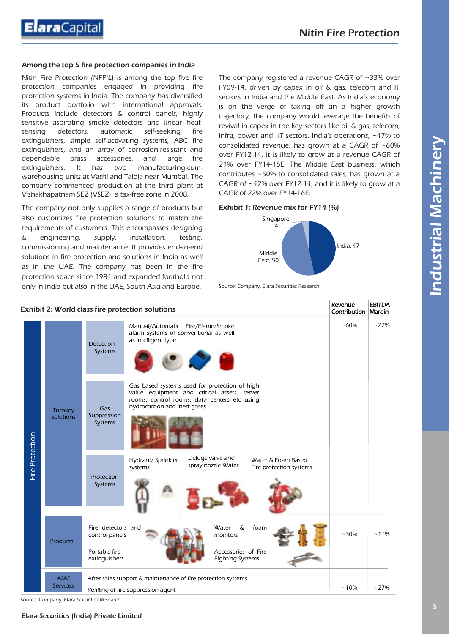#### Among the top 5 fire protection companies in India

Nitin Fire Protection (NFPIL) is among the top five fire protection companies engaged in providing fire protection systems in India. The company has diversified its product portfolio with international approvals. Products include detectors & control panels, highly sensitive aspirating smoke detectors and linear heatsensing detectors, automatic self-seeking fire extinguishers, simple self-activating systems, ABC fire extinguishers, and an array of corrosion-resistant and dependable brass accessories, and large fire extinguishers. It has two manufacturing-cumwarehousing units at Vashi and Taloja near Mumbai. The company commenced production at the third plant at Vishakhapatnam SEZ (VSEZ), a tax-free zone in 2008.

The company not only supplies a range of products but also customizes fire protection solutions to match the requirements of customers. This encompasses designing & engineering, supply, installation, testing, commissioning and maintenance. It provides end-to-end solutions in fire protection and solutions in India as well as in the UAE. The company has been in the fire protection space since 1984 and expanded foothold not only in India but also in the UAE, South Asia and Europe.

The company registered a revenue CAGR of ~33% over FY09-14, driven by capex in oil & gas, telecom and IT sectors in India and the Middle East. As India's economy is on the verge of taking off an a higher growth trajectory, the company would leverage the benefits of revival in capex in the key sectors like oil & gas, telecom, infra, power and IT sectors. India's operations, ~47% to consolidated revenue, has grown at a CAGR of ~60% over FY12-14. It is likely to grow at a revenue CAGR of 21% over FY14-16E. The Middle East business, which contributes ~50% to consolidated sales, has grown at a CAGR of ~42% over FY12-14, and it is likely to grow at a CAGR of 22% over FY14-16E.

#### Exhibit 1: Revenue mix for FY14 (%)



Source: Company, Elara Securities Research

|                 |                               | Exhibit 2: World class fire protection solutions                                                                                                                                                             | Revenue<br>Contribution   Margin | <b>EBITDA</b> |
|-----------------|-------------------------------|--------------------------------------------------------------------------------------------------------------------------------------------------------------------------------------------------------------|----------------------------------|---------------|
| Fire Protection | Turnkey<br>Solutions          | Manual/Automatic Fire/Flame/Smoke<br>alarm systems of conventional as well<br>as intelligent type<br><b>Detection</b><br>Systems                                                                             | ~100%                            | $~22\%$       |
|                 |                               | Gas based systems used for protection of high<br>value equipment and critical assets, server<br>rooms, control rooms, data centers etc using<br>hydrocarbon and inert gases<br>Gas<br>Suppression<br>Systems |                                  |               |
|                 |                               | Deluge valve and<br>Water & Foam Based<br>Hydrant/ Sprinkler<br>spray nozzle Water<br>Fire protection systems<br>systems<br>Protection<br>Systems                                                            |                                  |               |
|                 | <b>Products</b>               | $\delta$<br>Fire detectors and<br>Water<br>foam<br>monitors<br>control panels<br>Portable fire<br>Accessories of Fire<br>extinguishers<br><b>Fighting Systems</b>                                            | $~10\%$                          | $~11\%$       |
|                 | <b>AMC</b><br><b>Services</b> | After sales support & maintenance of fire protection systems<br>Refilling of fire suppression agent                                                                                                          | $~10\%$                          | $~27\%$       |

Source: Company, Elara Securities Research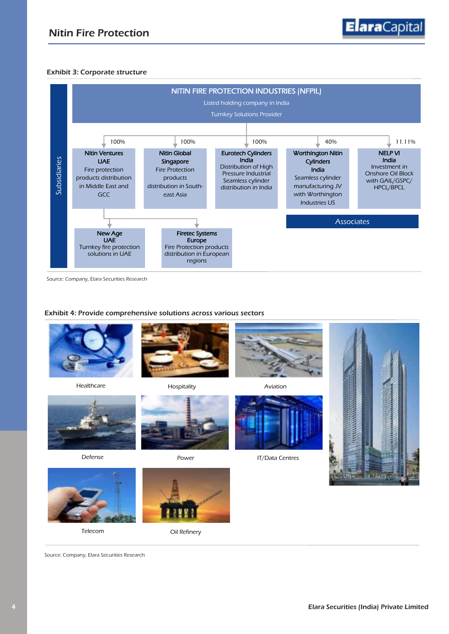#### Exhibit 3: Corporate structure



Source: Company, Elara Securities Research

#### Exhibit 4: Provide comprehensive solutions across various sectors







Telecom 
Oil Refinery

Source: Company, Elara Securities Research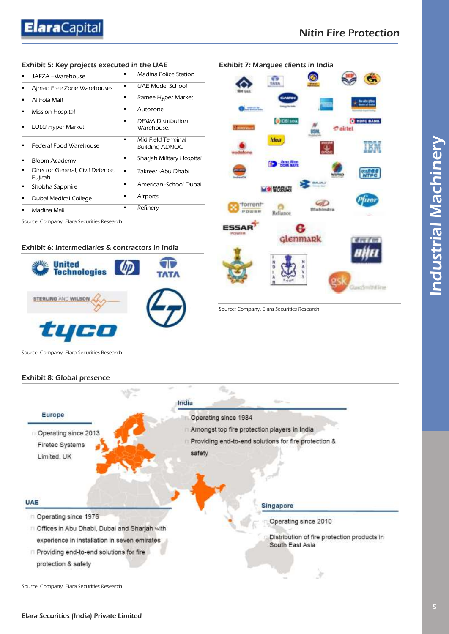#### Exhibit 5: Key projects executed in the UAE

| JAFZA -Warehouse                            | ٠ | Madina Police Station                       |
|---------------------------------------------|---|---------------------------------------------|
| Ajman Free Zone Warehouses                  | ٠ | UAE Model School                            |
| Al Fola Mall                                | ٠ | Ramee Hyper Market                          |
| <b>Mission Hospital</b>                     | ٠ | Autozone                                    |
| <b>LULU Hyper Market</b>                    | ٠ | <b>DEWA Distribution</b><br>Warehouse.      |
| Federal Food Warehouse                      | ٠ | Mid Field Terminal<br><b>Building ADNOC</b> |
| Bloom Academy                               | ٠ | Sharjah Military Hospital                   |
| Director General, Civil Defence,<br>Fujirah | ٠ | Takreer - Abu Dhabi                         |
| Shobha Sapphire                             | ٠ | American -School Dubai                      |
| Dubai Medical College                       |   | Airports                                    |
| Madina Mall                                 |   | Refinery                                    |
|                                             |   |                                             |

Source: Company, Elara Securities Research

#### Exhibit 6: Intermediaries & contractors in India





Source: Company, Elara Securities Research

Source: Company, Elara Securities Research

#### Exhibit 8: Global presence



Source: Company, Elara Securities Research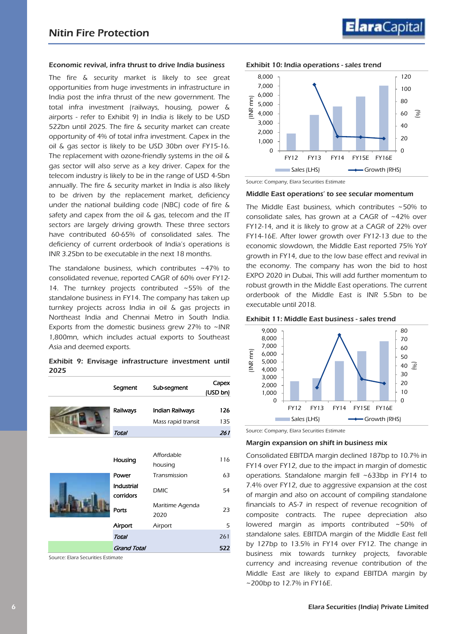# ElaraCapita

#### Economic revival, infra thrust to drive India business

The fire & security market is likely to see great opportunities from huge investments in infrastructure in India post the infra thrust of the new government. The total infra investment (railways, housing, power & airports - refer to Exhibit 9) in India is likely to be USD 522bn until 2025. The fire & security market can create opportunity of 4% of total infra investment. Capex in the oil & gas sector is likely to be USD 30bn over FY15-16. The replacement with ozone-friendly systems in the oil & gas sector will also serve as a key driver. Capex for the telecom industry is likely to be in the range of USD 4-5bn annually. The fire & security market in India is also likely to be driven by the replacement market, deficiency under the national building code (NBC) code of fire & safety and capex from the oil & gas, telecom and the IT sectors are largely driving growth. These three sectors have contributed 60-65% of consolidated sales. The deficiency of current orderbook of India's operations is INR 3.25bn to be executable in the next 18 months.

The standalone business, which contributes ~47% to consolidated revenue, reported CAGR of 60% over FY12- 14. The turnkey projects contributed ~55% of the standalone business in FY14. The company has taken up turnkey projects across India in oil & gas projects in Northeast India and Chennai Metro in South India. Exports from the domestic business grew 27% to  $\sim$  INR 1,800mn, which includes actual exports to Southeast Asia and deemed exports.

#### Exhibit 9: Envisage infrastructure investment until 2025

|  | Segment                 | Sub-segment             | Capex<br>(USD bn) |
|--|-------------------------|-------------------------|-------------------|
|  | Railways                | Indian Railways         | 126               |
|  | Total                   | Mass rapid transit      | 135<br>261        |
|  |                         | Affordable              |                   |
|  | Housing                 | housing                 | 116               |
|  | Power                   | Transmission            | 63                |
|  | Industrial<br>corridors | <b>DMIC</b>             | 54                |
|  | Ports                   | Maritime Agenda<br>2020 | 23                |
|  | Airport                 | Airport                 | 5                 |
|  | Total                   |                         | 261               |
|  | <b>Grand Total</b>      |                         | 522               |

Source: Elara Securities Estimate



Source: Company, Elara Securities Estimate

#### Middle East operations' to see secular momentum

The Middle East business, which contributes ~50% to consolidate sales, has grown at a CAGR of ~42% over FY12-14, and it is likely to grow at a CAGR of 22% over FY14-16E. After lower growth over FY12-13 due to the economic slowdown, the Middle East reported 75% YoY growth in FY14, due to the low base effect and revival in the economy. The company has won the bid to host EXPO 2020 in Dubai. This will add further momentum to robust growth in the Middle East operations. The current orderbook of the Middle East is INR 5.5bn to be executable until 2018.





Source: Company, Elara Securities Estimate

#### Margin expansion on shift in business mix

Consolidated EBITDA margin declined 187bp to 10.7% in FY14 over FY12, due to the impact in margin of domestic operations. Standalone margin fell ~633bp in FY14 to 7.4% over FY12, due to aggressive expansion at the cost of margin and also on account of compiling standalone financials to AS-7 in respect of revenue recognition of composite contracts. The rupee depreciation also lowered margin as imports contributed ~50% of standalone sales. EBITDA margin of the Middle East fell by 127bp to 13.5% in FY14 over FY12. The change in business mix towards turnkey projects, favorable currency and increasing revenue contribution of the Middle East are likely to expand EBITDA margin by ~200bp to 12.7% in FY16E.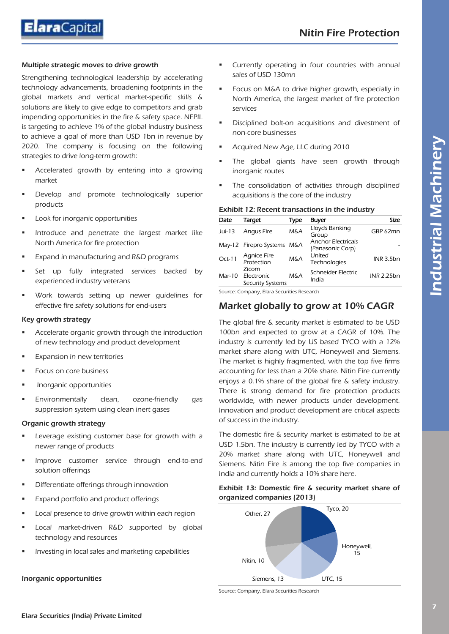

#### Multiple strategic moves to drive growth

Strengthening technological leadership by accelerating technology advancements, broadening footprints in the global markets and vertical market-specific skills & solutions are likely to give edge to competitors and grab impending opportunities in the fire & safety space. NFPIL is targeting to achieve 1% of the global industry business to achieve a goal of more than USD 1bn in revenue by 2020. The company is focusing on the following strategies to drive long-term growth:

- Accelerated growth by entering into a growing market
- Develop and promote technologically superior products
- Look for inorganic opportunities
- Introduce and penetrate the largest market like North America for fire protection
- Expand in manufacturing and R&D programs
- Set up fully integrated services backed by experienced industry veterans
- Work towards setting up newer guidelines for effective fire safety solutions for end-users

#### Key growth strategy

- Accelerate organic growth through the introduction of new technology and product development
- Expansion in new territories
- Focus on core business
- Inorganic opportunities
- Environmentally clean, ozone-friendly gas suppression system using clean inert gases

#### Organic growth strategy

- Leverage existing customer base for growth with a newer range of products
- Improve customer service through end-to-end solution offerings
- Differentiate offerings through innovation
- Expand portfolio and product offerings
- Local presence to drive growth within each region
- Local market-driven R&D supported by global technology and resources
- Investing in local sales and marketing capabilities

#### Inorganic opportunities

- **EXECUTE CUTTER IN CUTTER 15 IN EXECUTE:** Currently operating in four countries with annual sales of USD 130mn
- Focus on M&A to drive higher growth, especially in North America, the largest market of fire protection services
- Disciplined bolt-on acquisitions and divestment of non-core businesses
- Acquired New Age, LLC during 2010
- The global giants have seen growth through inorganic routes
- The consolidation of activities through disciplined acquisitions is the core of the industry

#### Exhibit 12: Recent transactions in the industry

| Date     | Target                                  | Type           | <b>Buyer</b>                                  | Size              |
|----------|-----------------------------------------|----------------|-----------------------------------------------|-------------------|
| $Jul-13$ | <b>Angus Fire</b>                       | <b>M&amp;A</b> | Lloyds Banking<br>Group                       | GBP 62mn          |
|          | May-12 Firepro Systems M&A              |                | <b>Anchor Electricals</b><br>(Panasonic Corp) |                   |
| $Oct-11$ | <b>Agnice Fire</b><br>Protection        | <b>M&amp;A</b> | United<br>Technologies                        | INR 3.5bn         |
| Mar-10   | Zicom<br>Electronic<br>Security Systems | M&A            | Schneider Electric<br>India                   | <b>INR 2.25bn</b> |

Source: Company, Elara Securities Research

### Market globally to grow at 10% CAGR

The global fire & security market is estimated to be USD 100bn and expected to grow at a CAGR of 10%. The industry is currently led by US based TYCO with a 12% market share along with UTC, Honeywell and Siemens. The market is highly fragmented, with the top five firms accounting for less than a 20% share. Nitin Fire currently enjoys a 0.1% share of the global fire & safety industry. There is strong demand for fire protection products worldwide, with newer products under development. Innovation and product development are critical aspects of success in the industry.

The domestic fire & security market is estimated to be at USD 1.5bn. The industry is currently led by TYCO with a 20% market share along with UTC, Honeywell and Siemens. Nitin Fire is among the top five companies in India and currently holds a 10% share here.

#### Exhibit 13: Domestic fire & security market share of organized companies (2013)



Source: Company, Elara Securities Research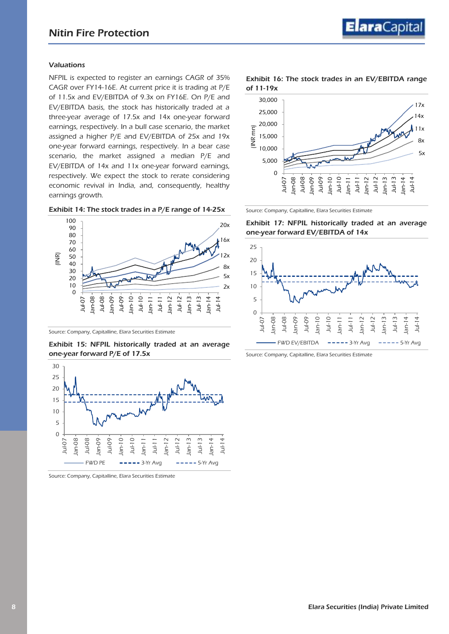#### Valuations

NFPIL is expected to register an earnings CAGR of 35% CAGR over FY14-16E. At current price it is trading at P/E of 11.5x and EV/EBITDA of 9.3x on FY16E. On P/E and EV/EBITDA basis, the stock has historically traded at a three-year average of 17.5x and 14x one-year forward earnings, respectively. In a bull case scenario, the market assigned a higher P/E and EV/EBITDA of 25x and 19x one-year forward earnings, respectively. In a bear case scenario, the market assigned a median P/E and EV/EBITDA of 14x and 11x one-year forward earnings, respectively. We expect the stock to rerate considering economic revival in India, and, consequently, healthy earnings growth.





Source: Company, Capitalline, Elara Securities Estimate

#### Exhibit 15: NFPIL historically traded at an average one-year forward P/E of 17.5x



Source: Company, Capitalline, Elara Securities Estimate

#### Exhibit 16: The stock trades in an EV/EBITDA range of 11-19x



Source: Company, Capitalline, Elara Securities Estimate

Exhibit 17: NFPIL historically traded at an average one-year forward EV/EBITDA of 14x



Source: Company, Capitalline, Elara Securities Estimate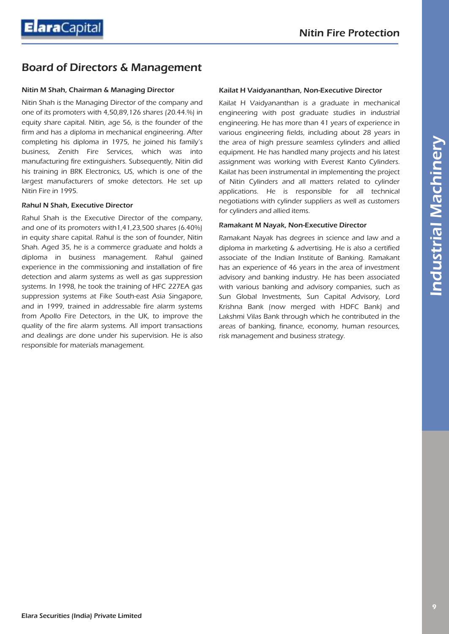# Board of Directors & Management

#### Nitin M Shah, Chairman & Managing Director

Nitin Shah is the Managing Director of the company and one of its promoters with 4,50,89,126 shares (20.44.%) in equity share capital. Nitin, age 56, is the founder of the firm and has a diploma in mechanical engineering. After completing his diploma in 1975, he joined his family's business, Zenith Fire Services, which was into manufacturing fire extinguishers. Subsequently, Nitin did his training in BRK Electronics, US, which is one of the largest manufacturers of smoke detectors. He set up Nitin Fire in 1995.

#### Rahul N Shah, Executive Director

Rahul Shah is the Executive Director of the company, and one of its promoters with1,41,23,500 shares (6.40%) in equity share capital. Rahul is the son of founder, Nitin Shah. Aged 35, he is a commerce graduate and holds a diploma in business management. Rahul gained experience in the commissioning and installation of fire detection and alarm systems as well as gas suppression systems. In 1998, he took the training of HFC 227EA gas suppression systems at Fike South-east Asia Singapore, and in 1999, trained in addressable fire alarm systems from Apollo Fire Detectors, in the UK, to improve the quality of the fire alarm systems. All import transactions and dealings are done under his supervision. He is also responsible for materials management.

#### Kailat H Vaidyananthan, Non-Executive Director

Kailat H Vaidyananthan is a graduate in mechanical engineering with post graduate studies in industrial engineering. He has more than 41 years of experience in various engineering fields, including about 28 years in the area of high pressure seamless cylinders and allied equipment. He has handled many projects and his latest assignment was working with Everest Kanto Cylinders. Kailat has been instrumental in implementing the project of Nitin Cylinders and all matters related to cylinder applications. He is responsible for all technical negotiations with cylinder suppliers as well as customers for cylinders and allied items.

#### Ramakant M Nayak, Non-Executive Director

Ramakant Nayak has degrees in science and law and a diploma in marketing & advertising. He is also a certified associate of the Indian Institute of Banking. Ramakant has an experience of 46 years in the area of investment advisory and banking industry. He has been associated with various banking and advisory companies, such as Sun Global Investments, Sun Capital Advisory, Lord Krishna Bank (now merged with HDFC Bank) and Lakshmi Vilas Bank through which he contributed in the areas of banking, finance, economy, human resources, risk management and business strategy.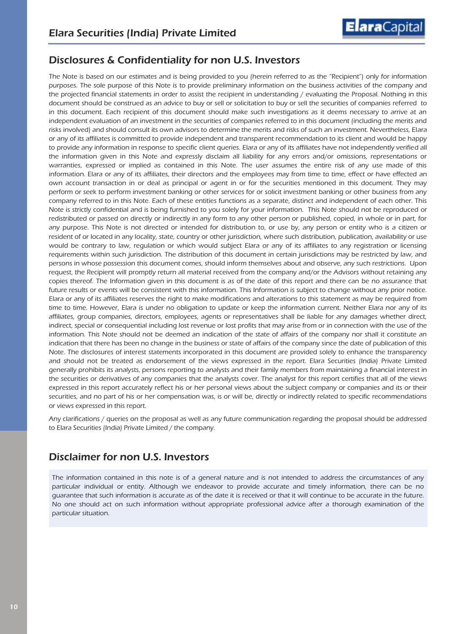

### Disclosures & Confidentiality for non U.S. Investors

The Note is based on our estimates and is being provided to you (herein referred to as the "Recipient") only for information purposes. The sole purpose of this Note is to provide preliminary information on the business activities of the company and the projected financial statements in order to assist the recipient in understanding / evaluating the Proposal. Nothing in this document should be construed as an advice to buy or sell or solicitation to buy or sell the securities of companies referred to in this document. Each recipient of this document should make such investigations as it deems necessary to arrive at an independent evaluation of an investment in the securities of companies referred to in this document (including the merits and risks involved) and should consult its own advisors to determine the merits and risks of such an investment. Nevertheless, Elara or any of its affiliates is committed to provide independent and transparent recommendation to its client and would be happy to provide any information in response to specific client queries. Elara or any of its affiliates have not independently verified all the information given in this Note and expressly disclaim all liability for any errors and/or omissions, representations or warranties, expressed or implied as contained in this Note. The user assumes the entire risk of any use made of this information. Elara or any of its affiliates, their directors and the employees may from time to time, effect or have effected an own account transaction in or deal as principal or agent in or for the securities mentioned in this document. They may perform or seek to perform investment banking or other services for or solicit investment banking or other business from any company referred to in this Note. Each of these entities functions as a separate, distinct and independent of each other. This Note is strictly confidential and is being furnished to you solely for your information. This Note should not be reproduced or redistributed or passed on directly or indirectly in any form to any other person or published, copied, in whole or in part, for any purpose. This Note is not directed or intended for distribution to, or use by, any person or entity who is a citizen or resident of or located in any locality, state, country or other jurisdiction, where such distribution, publication, availability or use would be contrary to law, regulation or which would subject Elara or any of its affiliates to any registration or licensing requirements within such jurisdiction. The distribution of this document in certain jurisdictions may be restricted by law, and persons in whose possession this document comes, should inform themselves about and observe, any such restrictions. Upon request, the Recipient will promptly return all material received from the company and/or the Advisors without retaining any copies thereof. The Information given in this document is as of the date of this report and there can be no assurance that future results or events will be consistent with this information. This Information is subject to change without any prior notice. Elara or any of its affiliates reserves the right to make modifications and alterations to this statement as may be required from time to time. However, Elara is under no obligation to update or keep the information current. Neither Elara nor any of its affiliates, group companies, directors, employees, agents or representatives shall be liable for any damages whether direct, indirect, special or consequential including lost revenue or lost profits that may arise from or in connection with the use of the information. This Note should not be deemed an indication of the state of affairs of the company nor shall it constitute an indication that there has been no change in the business or state of affairs of the company since the date of publication of this Note. The disclosures of interest statements incorporated in this document are provided solely to enhance the transparency and should not be treated as endorsement of the views expressed in the report. Elara Securities (India) Private Limited generally prohibits its analysts, persons reporting to analysts and their family members from maintaining a financial interest in the securities or derivatives of any companies that the analysts cover. The analyst for this report certifies that all of the views expressed in this report accurately reflect his or her personal views about the subject company or companies and its or their securities, and no part of his or her compensation was, is or will be, directly or indirectly related to specific recommendations or views expressed in this report.

Any clarifications / queries on the proposal as well as any future communication regarding the proposal should be addressed to Elara Securities (India) Private Limited / the company.

### Disclaimer for non U.S. Investors

The information contained in this note is of a general nature and is not intended to address the circumstances of any particular individual or entity. Although we endeavor to provide accurate and timely information, there can be no guarantee that such information is accurate as of the date it is received or that it will continue to be accurate in the future. No one should act on such information without appropriate professional advice after a thorough examination of the particular situation.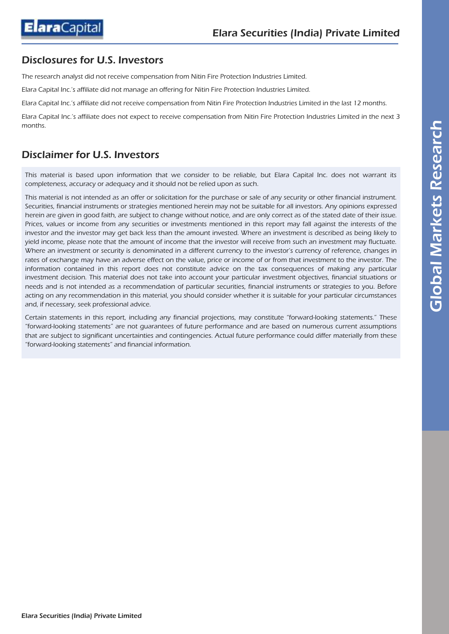

### Disclosures for U.S. Investors

The research analyst did not receive compensation from Nitin Fire Protection Industries Limited.

Elara Capital Inc.'s affiliate did not manage an offering for Nitin Fire Protection Industries Limited.

Elara Capital Inc.'s affiliate did not receive compensation from Nitin Fire Protection Industries Limited in the last 12 months.

Elara Capital Inc.'s affiliate does not expect to receive compensation from Nitin Fire Protection Industries Limited in the next 3 months.

### Disclaimer for U.S. Investors

This material is based upon information that we consider to be reliable, but Elara Capital Inc. does not warrant its completeness, accuracy or adequacy and it should not be relied upon as such.

This material is not intended as an offer or solicitation for the purchase or sale of any security or other financial instrument. Securities, financial instruments or strategies mentioned herein may not be suitable for all investors. Any opinions expressed herein are given in good faith, are subject to change without notice, and are only correct as of the stated date of their issue. Prices, values or income from any securities or investments mentioned in this report may fall against the interests of the investor and the investor may get back less than the amount invested. Where an investment is described as being likely to yield income, please note that the amount of income that the investor will receive from such an investment may fluctuate. Where an investment or security is denominated in a different currency to the investor's currency of reference, changes in rates of exchange may have an adverse effect on the value, price or income of or from that investment to the investor. The information contained in this report does not constitute advice on the tax consequences of making any particular investment decision. This material does not take into account your particular investment objectives, financial situations or needs and is not intended as a recommendation of particular securities, financial instruments or strategies to you. Before acting on any recommendation in this material, you should consider whether it is suitable for your particular circumstances and, if necessary, seek professional advice.

Certain statements in this report, including any financial projections, may constitute "forward-looking statements." These "forward-looking statements" are not guarantees of future performance and are based on numerous current assumptions that are subject to significant uncertainties and contingencies. Actual future performance could differ materially from these "forward-looking statements" and financial information.